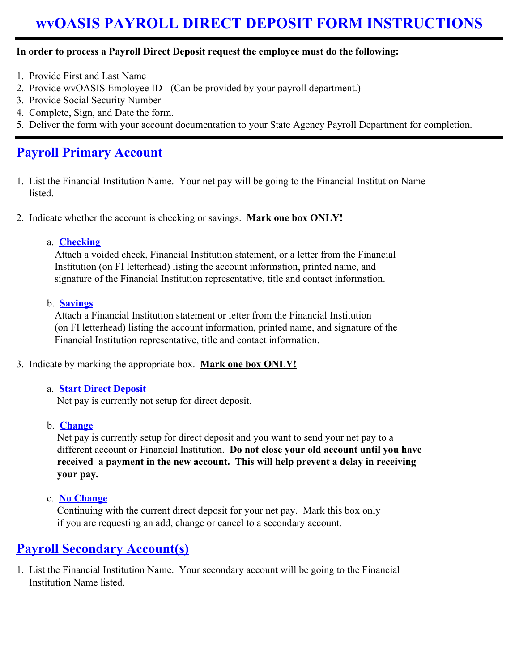# **wvOASIS PAYROLL DIRECT DEPOSIT FORM INSTRUCTIONS**

#### **In order to process a Payroll Direct Deposit request the employee must do the following:**

- 1. Provide First and Last Name
- 2. Provide wvOASIS Employee ID (Can be provided by your payroll department.)
- 3. Provide Social Security Number
- 4. Complete, Sign, and Date the form.
- 5. Deliver the form with your account documentation to your State Agency Payroll Department for completion.

## **Payroll Primary Account**

i

- 1. List the Financial Institution Name. Your net pay will be going to the Financial Institution Name listed.
- 2. Indicate whether the account is checking or savings. **Mark one box ONLY!**

#### a. **Checking**

 Attach a voided check, Financial Institution statement, or a letter from the Financial Institution (on FI letterhead) listing the account information, printed name, and signature of the Financial Institution representative, title and contact information.

#### b. **Savings**

 Attach a Financial Institution statement or letter from the Financial Institution (on FI letterhead) listing the account information, printed name, and signature of the Financial Institution representative, title and contact information.

#### 3. Indicate by marking the appropriate box. **Mark one box ONLY!**

#### a. **Start Direct Deposit**

Net pay is currently not setup for direct deposit.

#### b. **Change**

Net pay is currently setup for direct deposit and you want to send your net pay to a different account or Financial Institution. **Do not close your old account until you have received a payment in the new account. This will help prevent a delay in receiving your pay.** 

c. **No Change**

 Continuing with the current direct deposit for your net pay. Mark this box only if you are requesting an add, change or cancel to a secondary account.

## **Payroll Secondary Account(s)**

1. List the Financial Institution Name. Your secondary account will be going to the Financial Institution Name listed.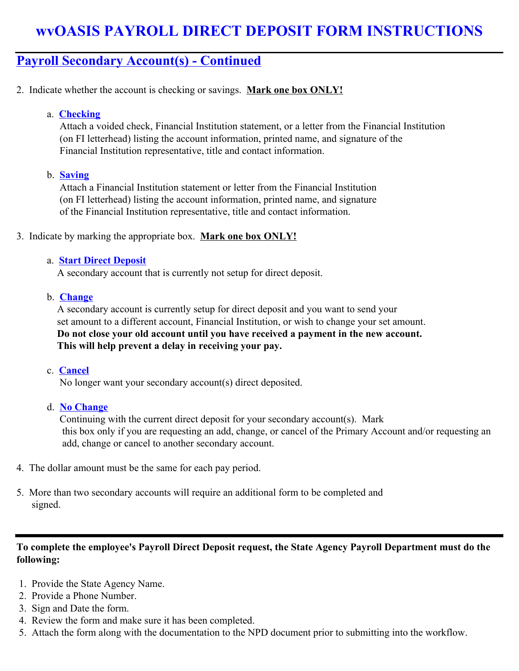## **wvOASIS PAYROLL DIRECT DEPOSIT FORM INSTRUCTIONS**

### **Payroll Secondary Account(s) - Continued**

- 2. Indicate whether the account is checking or savings. **Mark one box ONLY!**
	- a. **Checking**

 Attach a voided check, Financial Institution statement, or a letter from the Financial Institution (on FI letterhead) listing the account information, printed name, and signature of the Financial Institution representative, title and contact information.

#### b. **Saving**

 Attach a Financial Institution statement or letter from the Financial Institution (on FI letterhead) listing the account information, printed name, and signature of the Financial Institution representative, title and contact information.

#### 3. Indicate by marking the appropriate box. **Mark one box ONLY!**

#### a. **Start Direct Deposit**

A secondary account that is currently not setup for direct deposit.

#### b. **Change**

 A secondary account is currently setup for direct deposit and you want to send your set amount to a different account, Financial Institution, or wish to change your set amount. **Do not close your old account until you have received a payment in the new account. This will help prevent a delay in receiving your pay.** 

#### c. **Cancel**

No longer want your secondary account(s) direct deposited.

#### d. **No Change**

 Continuing with the current direct deposit for your secondary account(s). Mark this box only if you are requesting an add, change, or cancel of the Primary Account and/or requesting an add, change or cancel to another secondary account.

- 4. The dollar amount must be the same for each pay period.
- 5. More than two secondary accounts will require an additional form to be completed and signed.

### **To complete the employee's Payroll Direct Deposit request, the State Agency Payroll Department must do the following:**

- 1. Provide the State Agency Name.
- 2. Provide a Phone Number.
- 3. Sign and Date the form.
- 4. Review the form and make sure it has been completed.
- 5. Attach the form along with the documentation to the NPD document prior to submitting into the workflow.